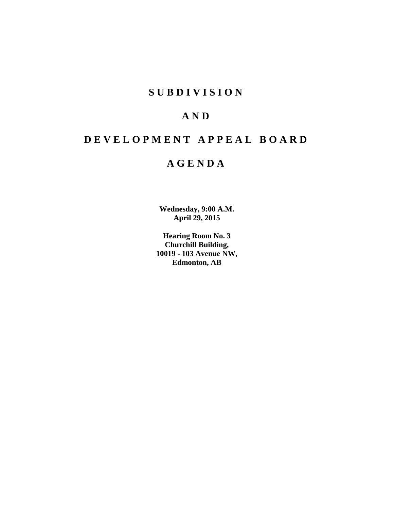# **S U B D I V I S I O N**

# **A N D**

# **D E V E L O P M E N T A P P E A L B O A R D**

# **A G E N D A**

**Wednesday, 9:00 A.M. April 29, 2015**

**Hearing Room No. 3 Churchill Building, 10019 - 103 Avenue NW, Edmonton, AB**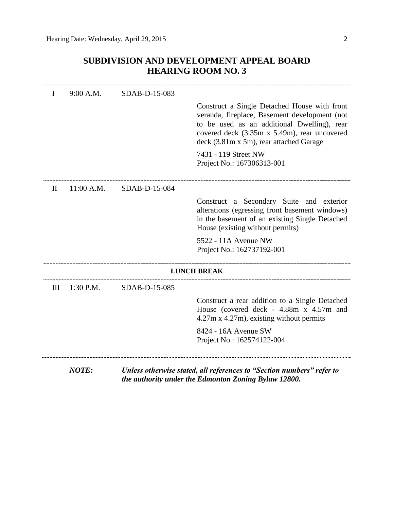## **SUBDIVISION AND DEVELOPMENT APPEAL BOARD HEARING ROOM NO. 3**

|              | 9:00 A.M.    | SDAB-D-15-083 |                                                                                                                                                                                                                                         |
|--------------|--------------|---------------|-----------------------------------------------------------------------------------------------------------------------------------------------------------------------------------------------------------------------------------------|
|              |              |               | Construct a Single Detached House with front<br>veranda, fireplace, Basement development (not<br>to be used as an additional Dwelling), rear<br>covered deck (3.35m x 5.49m), rear uncovered<br>deck (3.81m x 5m), rear attached Garage |
|              |              |               | 7431 - 119 Street NW<br>Project No.: 167306313-001                                                                                                                                                                                      |
| $\mathbf{H}$ | $11:00$ A.M. | SDAB-D-15-084 |                                                                                                                                                                                                                                         |
|              |              |               | Construct a Secondary Suite and exterior<br>alterations (egressing front basement windows)<br>in the basement of an existing Single Detached<br>House (existing without permits)                                                        |
|              |              |               | 5522 - 11A Avenue NW<br>Project No.: 162737192-001                                                                                                                                                                                      |
|              |              |               | <b>LUNCH BREAK</b>                                                                                                                                                                                                                      |
| III          | 1:30 P.M.    | SDAB-D-15-085 |                                                                                                                                                                                                                                         |
|              |              |               | Construct a rear addition to a Single Detached<br>House (covered deck - 4.88m x 4.57m and<br>$4.27m \times 4.27m$ , existing without permits                                                                                            |
|              |              |               | 8424 - 16A Avenue SW<br>Project No.: 162574122-004                                                                                                                                                                                      |
|              | <b>NOTE:</b> |               | Unless otherwise stated, all references to "Section numbers" refer to<br>the authority under the Edmonton Zoning Bylaw 12800.                                                                                                           |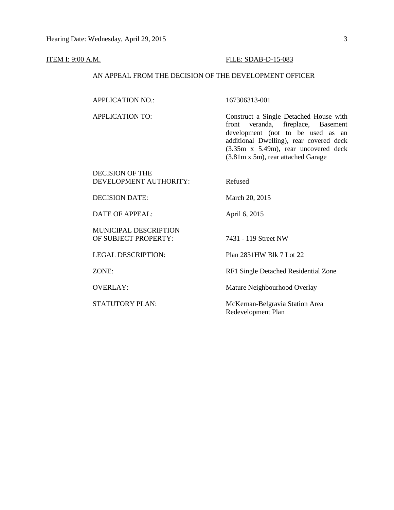#### **ITEM I: 9:00 A.M. FILE: SDAB-D-15-083**

#### AN APPEAL FROM THE DECISION OF THE DEVELOPMENT OFFICER

APPLICATION NO.: 167306313-001

APPLICATION TO: Construct a Single Detached House with front veranda, fireplace, Basement development (not to be used as an additional Dwelling), rear covered deck (3.35m x 5.49m), rear uncovered deck (3.81m x 5m), rear attached Garage

### DECISION OF THE DEVELOPMENT AUTHORITY: Refused

DECISION DATE: March 20, 2015

DATE OF APPEAL: April 6, 2015

MUNICIPAL DESCRIPTION OF SUBJECT PROPERTY: 7431 - 119 Street NW

LEGAL DESCRIPTION: Plan 2831HW Blk 7 Lot 22

ZONE: RF1 Single Detached Residential Zone

OVERLAY: Mature Neighbourhood Overlay

STATUTORY PLAN: McKernan-Belgravia Station Area Redevelopment Plan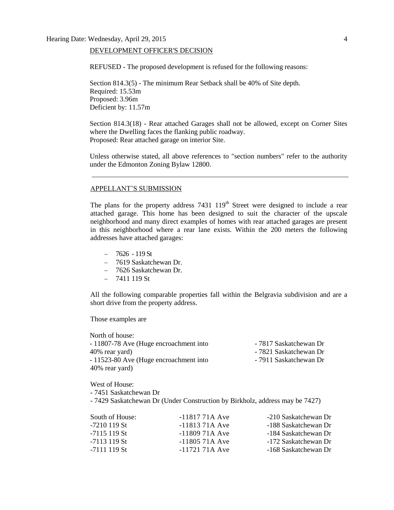#### DEVELOPMENT OFFICER'S DECISION

REFUSED - The proposed development is refused for the following reasons:

Section 814.3(5) - The minimum Rear Setback shall be 40% of Site depth. Required: 15.53m Proposed: 3.96m Deficient by: 11.57m

Section 814.3(18) - Rear attached Garages shall not be allowed, except on Corner Sites where the Dwelling faces the flanking public roadway. Proposed: Rear attached garage on interior Site.

Unless otherwise stated, all above references to "section numbers" refer to the authority under the Edmonton Zoning Bylaw 12800.

#### APPELLANT'S SUBMISSION

The plans for the property address  $7431 \ 119<sup>th</sup>$  Street were designed to include a rear attached garage. This home has been designed to suit the character of the upscale neighborhood and many direct examples of homes with rear attached garages are present in this neighborhood where a rear lane exists. Within the 200 meters the following addresses have attached garages:

- $-7626 119$  St
- 7619 Saskatchewan Dr.
- 7626 Saskatchewan Dr.
- $-7411119$  St

All the following comparable properties fall within the Belgravia subdivision and are a short drive from the property address.

Those examples are

North of house: - 11807-78 Ave (Huge encroachment into - 7817 Saskatchewan Dr 40% rear yard)  $-7821$  Saskatchewan Dr - 11523-80 Ave (Huge encroachment into - 7911 Saskatchewan Dr 40% rear yard)

West of House:

- 7451 Saskatchewan Dr

- 7429 Saskatchewan Dr (Under Construction by Birkholz, address may be 7427)

| South of House: | $-1181771A$ Ave | -210 Saskatchewan Dr |
|-----------------|-----------------|----------------------|
| -7210 119 St    | $-1181371A$ Ave | -188 Saskatchewan Dr |
| $-7115119$ St   | $-1180971A$ Ave | -184 Saskatchewan Dr |
| -7113 119 St    | $-1180571A$ Ave | -172 Saskatchewan Dr |
| -7111 119 St    | $-1172171A$ Ave | -168 Saskatchewan Dr |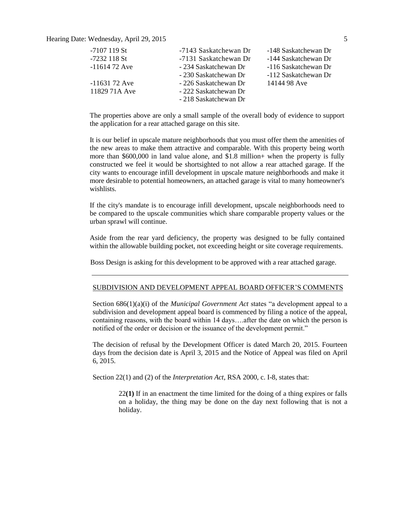Hearing Date: Wednesday, April 29, 2015 5

| -7107 119 St   | -7143 Saskatchewan Dr | -148 Saskatchewan Dr |
|----------------|-----------------------|----------------------|
| -7232 118 St   | -7131 Saskatchewan Dr | -144 Saskatchewan Dr |
| $-1161472$ Ave | - 234 Saskatchewan Dr | -116 Saskatchewan Dr |
|                | - 230 Saskatchewan Dr | -112 Saskatchewan Dr |
| $-1163172$ Ave | - 226 Saskatchewan Dr | 14144 98 Ave         |
| 11829 71A Ave  | - 222 Saskatchewan Dr |                      |
|                | - 218 Saskatchewan Dr |                      |

The properties above are only a small sample of the overall body of evidence to support the application for a rear attached garage on this site.

It is our belief in upscale mature neighborhoods that you must offer them the amenities of the new areas to make them attractive and comparable. With this property being worth more than \$600,000 in land value alone, and \$1.8 million+ when the property is fully constructed we feel it would be shortsighted to not allow a rear attached garage. If the city wants to encourage infill development in upscale mature neighborhoods and make it more desirable to potential homeowners, an attached garage is vital to many homeowner's wishlists.

If the city's mandate is to encourage infill development, upscale neighborhoods need to be compared to the upscale communities which share comparable property values or the urban sprawl will continue.

Aside from the rear yard deficiency, the property was designed to be fully contained within the allowable building pocket, not exceeding height or site coverage requirements.

Boss Design is asking for this development to be approved with a rear attached garage.

#### SUBDIVISION AND DEVELOPMENT APPEAL BOARD OFFICER'S COMMENTS

Section 686(1)(a)(i) of the *Municipal Government Act* states "a development appeal to a subdivision and development appeal board is commenced by filing a notice of the appeal, containing reasons, with the board within 14 days….after the date on which the person is notified of the order or decision or the issuance of the development permit."

The decision of refusal by the Development Officer is dated March 20, 2015. Fourteen days from the decision date is April 3, 2015 and the Notice of Appeal was filed on April 6, 2015.

Section 22(1) and (2) of the *Interpretation Act*, RSA 2000, c. I-8, states that:

22**(1)** If in an enactment the time limited for the doing of a thing expires or falls on a holiday, the thing may be done on the day next following that is not a holiday.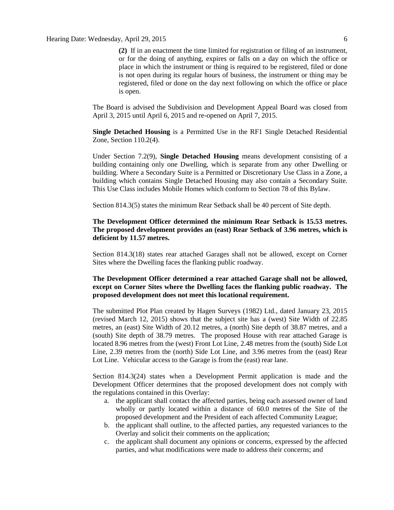**(2)** If in an enactment the time limited for registration or filing of an instrument, or for the doing of anything, expires or falls on a day on which the office or place in which the instrument or thing is required to be registered, filed or done is not open during its regular hours of business, the instrument or thing may be registered, filed or done on the day next following on which the office or place is open.

The Board is advised the Subdivision and Development Appeal Board was closed from April 3, 2015 until April 6, 2015 and re-opened on April 7, 2015.

**Single Detached Housing** is a Permitted Use in the RF1 Single Detached Residential Zone, Section 110.2(4).

Under Section 7.2(9), **Single Detached Housing** means development consisting of a building containing only one Dwelling, which is separate from any other Dwelling or building. Where a Secondary Suite is a Permitted or Discretionary Use Class in a Zone, a building which contains Single Detached Housing may also contain a Secondary Suite. This Use Class includes Mobile Homes which conform to [Section 78](http://webdocs.edmonton.ca/InfraPlan/zoningbylaw/ZoningBylaw/Part1/Special_Land/78__Mobile_Homes.htm) of this Bylaw.

Section 814.3(5) states the minimum Rear Setback shall be 40 percent of Site depth.

### **The Development Officer determined the minimum Rear Setback is 15.53 metres. The proposed development provides an (east) Rear Setback of 3.96 metres, which is deficient by 11.57 metres.**

Section 814.3(18) states rear attached Garages shall not be allowed, except on Corner Sites where the Dwelling faces the flanking public roadway.

### **The Development Officer determined a rear attached Garage shall not be allowed, except on Corner Sites where the Dwelling faces the flanking public roadway. The proposed development does not meet this locational requirement.**

The submitted Plot Plan created by Hagen Surveys (1982) Ltd., dated January 23, 2015 (revised March 12, 2015) shows that the subject site has a (west) Site Width of 22.85 metres, an (east) Site Width of 20.12 metres, a (north) Site depth of 38.87 metres, and a (south) Site depth of 38.79 metres. The proposed House with rear attached Garage is located 8.96 metres from the (west) Front Lot Line, 2.48 metres from the (south) Side Lot Line, 2.39 metres from the (north) Side Lot Line, and 3.96 metres from the (east) Rear Lot Line. Vehicular access to the Garage is from the (east) rear lane.

Section 814.3(24) states when a Development Permit application is made and the Development Officer determines that the proposed development does not comply with the regulations contained in this Overlay:

- a. the applicant shall contact the affected parties, being each assessed owner of land wholly or partly located within a distance of 60.0 metres of the Site of the proposed development and the President of each affected Community League;
- b. the applicant shall outline, to the affected parties, any requested variances to the Overlay and solicit their comments on the application;
- c. the applicant shall document any opinions or concerns, expressed by the affected parties, and what modifications were made to address their concerns; and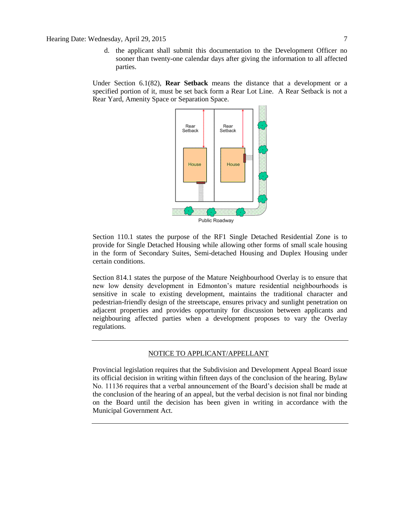d. the applicant shall submit this documentation to the Development Officer no sooner than twenty-one calendar days after giving the information to all affected parties.

Under Section 6.1(82), **Rear Setback** means the distance that a development or a specified portion of it, must be set back form a Rear Lot Line. A Rear Setback is not a Rear Yard, Amenity Space or Separation Space.



Section 110.1 states the purpose of the RF1 Single Detached Residential Zone is to provide for Single Detached Housing while allowing other forms of small scale housing in the form of Secondary Suites, Semi-detached Housing and Duplex Housing under certain conditions.

Section 814.1 states the purpose of the Mature Neighbourhood Overlay is to ensure that new low density development in Edmonton's mature residential neighbourhoods is sensitive in scale to existing development, maintains the traditional character and pedestrian-friendly design of the streetscape, ensures privacy and sunlight penetration on adjacent properties and provides opportunity for discussion between applicants and neighbouring affected parties when a development proposes to vary the Overlay regulations.

#### NOTICE TO APPLICANT/APPELLANT

Provincial legislation requires that the Subdivision and Development Appeal Board issue its official decision in writing within fifteen days of the conclusion of the hearing. Bylaw No. 11136 requires that a verbal announcement of the Board's decision shall be made at the conclusion of the hearing of an appeal, but the verbal decision is not final nor binding on the Board until the decision has been given in writing in accordance with the Municipal Government Act.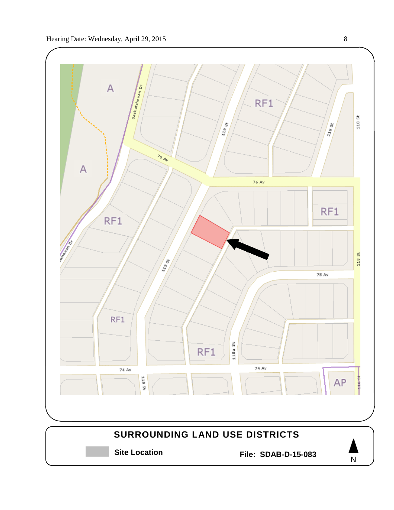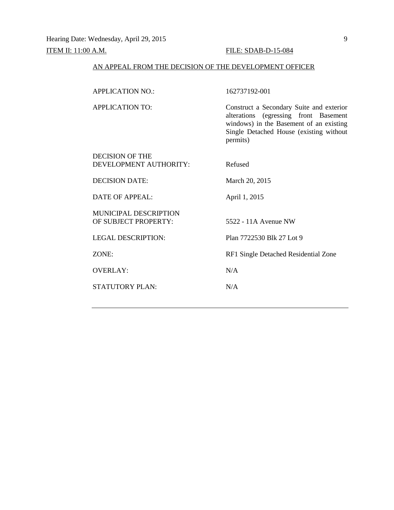## ITEM II: 11:00 A.M. FILE: SDAB-D-15-084

## AN APPEAL FROM THE DECISION OF THE DEVELOPMENT OFFICER

| <b>APPLICATION NO.:</b>      | 162737192-001                                                                                                                                                                       |
|------------------------------|-------------------------------------------------------------------------------------------------------------------------------------------------------------------------------------|
| <b>APPLICATION TO:</b>       | Construct a Secondary Suite and exterior<br>alterations (egressing front Basement<br>windows) in the Basement of an existing<br>Single Detached House (existing without<br>permits) |
| DECISION OF THE              |                                                                                                                                                                                     |
| DEVELOPMENT AUTHORITY:       | Refused                                                                                                                                                                             |
| <b>DECISION DATE:</b>        | March 20, 2015                                                                                                                                                                      |
| <b>DATE OF APPEAL:</b>       | April 1, 2015                                                                                                                                                                       |
| <b>MUNICIPAL DESCRIPTION</b> |                                                                                                                                                                                     |
| OF SUBJECT PROPERTY:         | 5522 - 11A Avenue NW                                                                                                                                                                |
| <b>LEGAL DESCRIPTION:</b>    | Plan 7722530 Blk 27 Lot 9                                                                                                                                                           |
| ZONE:                        | RF1 Single Detached Residential Zone                                                                                                                                                |
| <b>OVERLAY:</b>              | N/A                                                                                                                                                                                 |
| STATUTORY PLAN:              | N/A                                                                                                                                                                                 |
|                              |                                                                                                                                                                                     |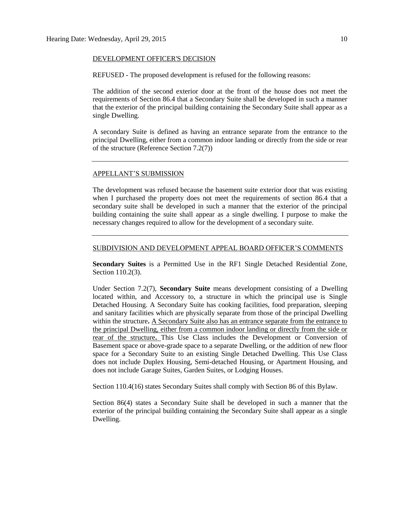#### DEVELOPMENT OFFICER'S DECISION

REFUSED - The proposed development is refused for the following reasons:

The addition of the second exterior door at the front of the house does not meet the requirements of Section 86.4 that a Secondary Suite shall be developed in such a manner that the exterior of the principal building containing the Secondary Suite shall appear as a single Dwelling.

A secondary Suite is defined as having an entrance separate from the entrance to the principal Dwelling, either from a common indoor landing or directly from the side or rear of the structure (Reference Section 7.2(7))

#### APPELLANT'S SUBMISSION

The development was refused because the basement suite exterior door that was existing when I purchased the property does not meet the requirements of section 86.4 that a secondary suite shall be developed in such a manner that the exterior of the principal building containing the suite shall appear as a single dwelling. I purpose to make the necessary changes required to allow for the development of a secondary suite.

#### SUBDIVISION AND DEVELOPMENT APPEAL BOARD OFFICER'S COMMENTS

**Secondary Suites** is a Permitted Use in the RF1 Single Detached Residential Zone, Section 110.2(3).

Under Section 7.2(7), **Secondary Suite** means development consisting of a Dwelling located within, and Accessory to, a structure in which the principal use is Single Detached Housing. A Secondary Suite has cooking facilities, food preparation, sleeping and sanitary facilities which are physically separate from those of the principal Dwelling within the structure**.** A Secondary Suite also has an entrance separate from the entrance to the principal Dwelling, either from a common indoor landing or directly from the side or rear of the structure**.** This Use Class includes the Development or Conversion of Basement space or above-grade space to a separate Dwelling, or the addition of new floor space for a Secondary Suite to an existing Single Detached Dwelling. This Use Class does not include Duplex Housing, Semi-detached Housing, or Apartment Housing, and does not include Garage Suites, Garden Suites, or Lodging Houses.

Section 110.4(16) states Secondary Suites shall comply with Section 86 of this Bylaw.

Section 86(4) states a Secondary Suite shall be developed in such a manner that the exterior of the principal building containing the Secondary Suite shall appear as a single Dwelling.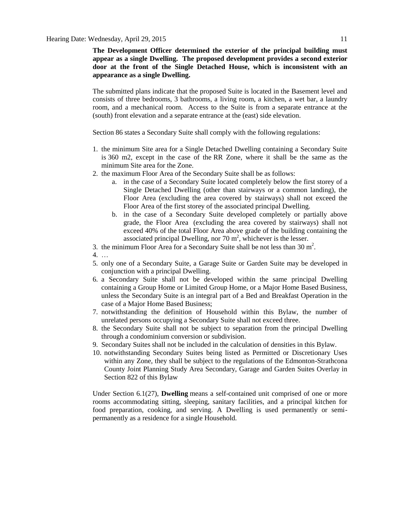**The Development Officer determined the exterior of the principal building must appear as a single Dwelling. The proposed development provides a second exterior door at the front of the Single Detached House, which is inconsistent with an appearance as a single Dwelling.**

The submitted plans indicate that the proposed Suite is located in the Basement level and consists of three bedrooms, 3 bathrooms, a living room, a kitchen, a wet bar, a laundry room, and a mechanical room. Access to the Suite is from a separate entrance at the (south) front elevation and a separate entrance at the (east) side elevation.

Section 86 states a Secondary Suite shall comply with the following regulations:

- 1. the minimum Site area for a Single Detached Dwelling containing a Secondary Suite is [360 m2,](javascript:void(0);) except in the case of the [RR Zone,](http://webdocs.edmonton.ca/InfraPlan/zoningbylaw/ZoningBylaw/Part2/Residential/240_(RR)_Rural_Residential_Zone.htm) where it shall be the same as the minimum Site area for the Zone.
- 2. the maximum Floor Area of the Secondary Suite shall be as follows:
	- a. in the case of a Secondary Suite located completely below the first storey of a Single Detached Dwelling (other than stairways or a common landing), the Floor Area (excluding the area covered by stairways) shall not exceed the Floor Area of the first storey of the associated principal Dwelling.
	- b. in the case of a Secondary Suite developed completely or partially above grade, the Floor Area (excluding the area covered by stairways) shall not exceed 40% of the total Floor Area above grade of the building containing the associated principal Dwelling, nor  $70 \text{ m}^2$ , whichever is the lesser.
- 3. the minimum Floor Area for a Secondary Suite shall be not less than  $30 \text{ m}^2$ .
- 4. …
- 5. only one of a Secondary Suite, a Garage Suite or Garden Suite may be developed in conjunction with a principal Dwelling.
- 6. a Secondary Suite shall not be developed within the same principal Dwelling containing a Group Home or Limited Group Home, or a Major Home Based Business, unless the Secondary Suite is an integral part of a Bed and Breakfast Operation in the case of a Major Home Based Business;
- 7. notwithstanding the definition of Household within this Bylaw, the number of unrelated persons occupying a Secondary Suite shall not exceed three.
- 8. the Secondary Suite shall not be subject to separation from the principal Dwelling through a condominium conversion or subdivision.
- 9. Secondary Suites shall not be included in the calculation of densities in this Bylaw.
- 10. notwithstanding Secondary Suites being listed as Permitted or Discretionary Uses within any Zone, they shall be subject to the regulations of the Edmonton-Strathcona County Joint Planning Study Area Secondary, Garage and Garden Suites Overlay in Section 822 of this Bylaw

Under Section 6.1(27), **Dwelling** means a self-contained unit comprised of one or more rooms accommodating sitting, sleeping, sanitary facilities, and a principal kitchen for food preparation, cooking, and serving. A Dwelling is used permanently or semipermanently as a residence for a single Household.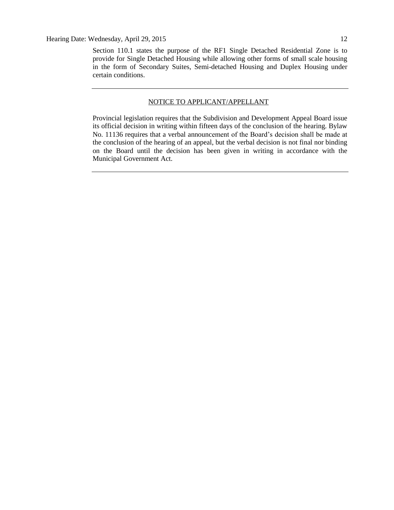Section 110.1 states the purpose of the RF1 Single Detached Residential Zone is to provide for Single Detached Housing while allowing other forms of small scale housing in the form of Secondary Suites, Semi-detached Housing and Duplex Housing under certain conditions.

### NOTICE TO APPLICANT/APPELLANT

Provincial legislation requires that the Subdivision and Development Appeal Board issue its official decision in writing within fifteen days of the conclusion of the hearing. Bylaw No. 11136 requires that a verbal announcement of the Board's decision shall be made at the conclusion of the hearing of an appeal, but the verbal decision is not final nor binding on the Board until the decision has been given in writing in accordance with the Municipal Government Act.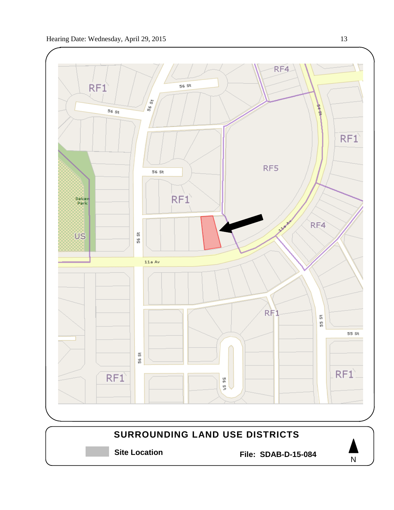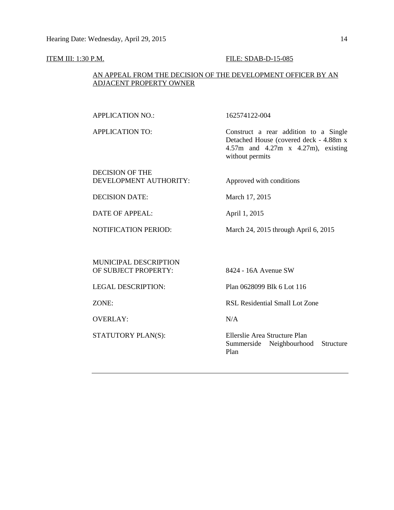#### **ITEM III: 1:30 P.M. FILE: SDAB-D-15-085**

### AN APPEAL FROM THE DECISION OF THE DEVELOPMENT OFFICER BY AN ADJACENT PROPERTY OWNER

APPLICATION NO.: 162574122-004

APPLICATION TO: Construct a rear addition to a Single Detached House (covered deck - 4.88m x 4.57m and 4.27m x 4.27m), existing without permits

### DECISION OF THE DEVELOPMENT AUTHORITY: Approved with conditions

DECISION DATE: March 17, 2015

DATE OF APPEAL: April 1, 2015

NOTIFICATION PERIOD: March 24, 2015 through April 6, 2015

MUNICIPAL DESCRIPTION OF SUBJECT PROPERTY: 8424 - 16A Avenue SW

OVERLAY: N/A

LEGAL DESCRIPTION: Plan 0628099 Blk 6 Lot 116

ZONE: RSL Residential Small Lot Zone

STATUTORY PLAN(S): Ellerslie Area Structure Plan Summerside Neighbourhood Structure Plan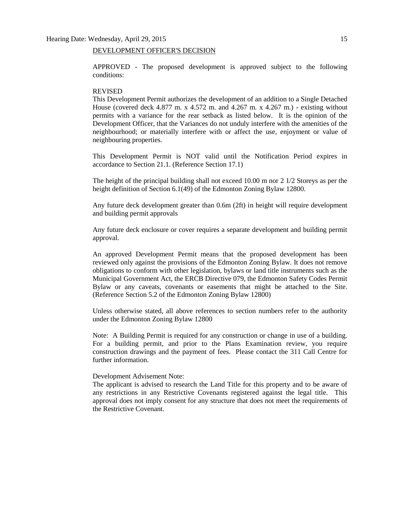#### DEVELOPMENT OFFICER'S DECISION

APPROVED - The proposed development is approved subject to the following conditions:

#### REVISED

This Development Permit authorizes the development of an addition to a Single Detached House (covered deck 4.877 m. x 4.572 m. and 4.267 m. x 4.267 m.) - existing without permits with a variance for the rear setback as listed below. It is the opinion of the Development Officer, that the Variances do not unduly interfere with the amenities of the neighbourhood; or materially interfere with or affect the use, enjoyment or value of neighbouring properties.

This Development Permit is NOT valid until the Notification Period expires in accordance to Section 21.1. (Reference Section 17.1)

The height of the principal building shall not exceed 10.00 m nor 2 1/2 Storeys as per the height definition of Section 6.1(49) of the Edmonton Zoning Bylaw 12800.

Any future deck development greater than 0.6m (2ft) in height will require development and building permit approvals

Any future deck enclosure or cover requires a separate development and building permit approval.

An approved Development Permit means that the proposed development has been reviewed only against the provisions of the Edmonton Zoning Bylaw. It does not remove obligations to conform with other legislation, bylaws or land title instruments such as the Municipal Government Act, the ERCB Directive 079, the Edmonton Safety Codes Permit Bylaw or any caveats, covenants or easements that might be attached to the Site. (Reference Section 5.2 of the Edmonton Zoning Bylaw 12800)

Unless otherwise stated, all above references to section numbers refer to the authority under the Edmonton Zoning Bylaw 12800

Note: A Building Permit is required for any construction or change in use of a building. For a building permit, and prior to the Plans Examination review, you require construction drawings and the payment of fees. Please contact the 311 Call Centre for further information.

#### Development Advisement Note:

The applicant is advised to research the Land Title for this property and to be aware of any restrictions in any Restrictive Covenants registered against the legal title. This approval does not imply consent for any structure that does not meet the requirements of the Restrictive Covenant.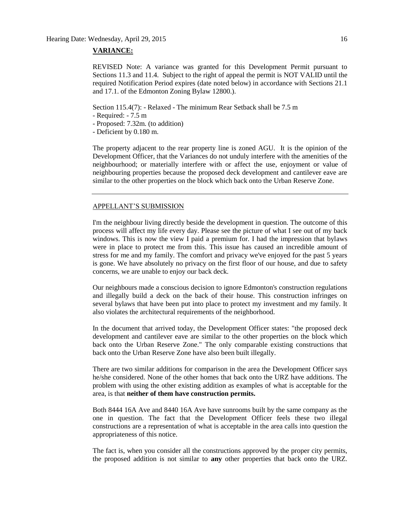#### **VARIANCE:**

REVISED Note: A variance was granted for this Development Permit pursuant to Sections 11.3 and 11.4. Subject to the right of appeal the permit is NOT VALID until the required Notification Period expires (date noted below) in accordance with Sections 21.1 and 17.1. of the Edmonton Zoning Bylaw 12800.).

Section 115.4(7): - Relaxed - The minimum Rear Setback shall be 7.5 m

- Required: 7.5 m
- Proposed: 7.32m. (to addition)
- Deficient by 0.180 m.

The property adjacent to the rear property line is zoned AGU. It is the opinion of the Development Officer, that the Variances do not unduly interfere with the amenities of the neighbourhood; or materially interfere with or affect the use, enjoyment or value of neighbouring properties because the proposed deck development and cantilever eave are similar to the other properties on the block which back onto the Urban Reserve Zone.

#### APPELLANT'S SUBMISSION

I'm the neighbour living directly beside the development in question. The outcome of this process will affect my life every day. Please see the picture of what I see out of my back windows. This is now the view I paid a premium for. I had the impression that bylaws were in place to protect me from this. This issue has caused an incredible amount of stress for me and my family. The comfort and privacy we've enjoyed for the past 5 years is gone. We have absolutely no privacy on the first floor of our house, and due to safety concerns, we are unable to enjoy our back deck.

Our neighbours made a conscious decision to ignore Edmonton's construction regulations and illegally build a deck on the back of their house. This construction infringes on several bylaws that have been put into place to protect my investment and my family. It also violates the architectural requirements of the neighborhood.

In the document that arrived today, the Development Officer states: "the proposed deck development and cantilever eave are similar to the other properties on the block which back onto the Urban Reserve Zone." The only comparable existing constructions that back onto the Urban Reserve Zone have also been built illegally.

There are two similar additions for comparison in the area the Development Officer says he/she considered. None of the other homes that back onto the URZ have additions. The problem with using the other existing addition as examples of what is acceptable for the area, is that **neither of them have construction permits.**

Both 8444 16A Ave and 8440 16A Ave have sunrooms built by the same company as the one in question. The fact that the Development Officer feels these two illegal constructions are a representation of what is acceptable in the area calls into question the appropriateness of this notice.

The fact is, when you consider all the constructions approved by the proper city permits, the proposed addition is not similar to **any** other properties that back onto the URZ.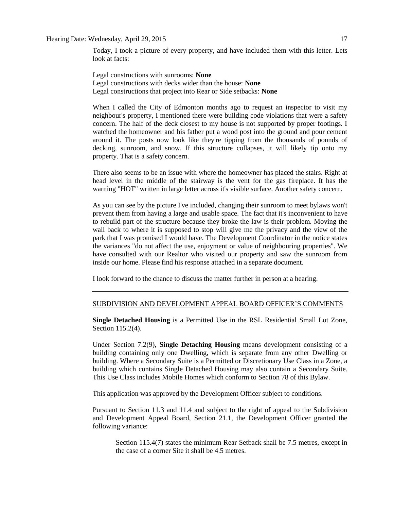#### Hearing Date: Wednesday, April 29, 2015 17

Today, I took a picture of every property, and have included them with this letter. Lets look at facts:

Legal constructions with sunrooms: **None** Legal constructions with decks wider than the house: **None** Legal constructions that project into Rear or Side setbacks: **None**

When I called the City of Edmonton months ago to request an inspector to visit my neighbour's property, I mentioned there were building code violations that were a safety concern. The half of the deck closest to my house is not supported by proper footings. I watched the homeowner and his father put a wood post into the ground and pour cement around it. The posts now look like they're tipping from the thousands of pounds of decking, sunroom, and snow. If this structure collapses, it will likely tip onto my property. That is a safety concern.

There also seems to be an issue with where the homeowner has placed the stairs. Right at head level in the middle of the stairway is the vent for the gas fireplace. It has the warning "HOT" written in large letter across it's visible surface. Another safety concern.

As you can see by the picture I've included, changing their sunroom to meet bylaws won't prevent them from having a large and usable space. The fact that it's inconvenient to have to rebuild part of the structure because they broke the law is their problem. Moving the wall back to where it is supposed to stop will give me the privacy and the view of the park that I was promised I would have. The Development Coordinator in the notice states the variances "do not affect the use, enjoyment or value of neighbouring properties". We have consulted with our Realtor who visited our property and saw the sunroom from inside our home. Please find his response attached in a separate document.

I look forward to the chance to discuss the matter further in person at a hearing.

#### SUBDIVISION AND DEVELOPMENT APPEAL BOARD OFFICER'S COMMENTS

**Single Detached Housing** is a Permitted Use in the RSL Residential Small Lot Zone, Section 115.2(4).

Under Section 7.2(9), **Single Detaching Housing** means development consisting of a building containing only one Dwelling, which is separate from any other Dwelling or building. Where a Secondary Suite is a Permitted or Discretionary Use Class in a Zone, a building which contains Single Detached Housing may also contain a Secondary Suite. This Use Class includes Mobile Homes which conform to [Section 78](http://webdocs.edmonton.ca/zoningbylaw/ZoningBylaw/Part1/Special_Land/78__Mobile_Homes.htm) of this Bylaw.

This application was approved by the Development Officer subject to conditions.

Pursuant to Section 11.3 and 11.4 and subject to the right of appeal to the Subdivision and Development Appeal Board, Section 21.1, the Development Officer granted the following variance:

Section 115.4(7) states the minimum Rear Setback shall be 7.5 metres, except in the case of a corner Site it shall be 4.5 metres.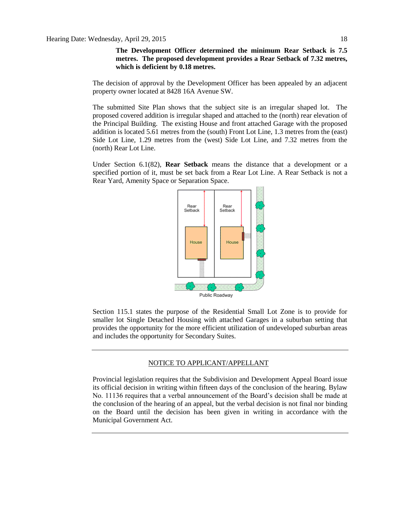**The Development Officer determined the minimum Rear Setback is 7.5 metres. The proposed development provides a Rear Setback of 7.32 metres, which is deficient by 0.18 metres.**

The decision of approval by the Development Officer has been appealed by an adjacent property owner located at 8428 16A Avenue SW.

The submitted Site Plan shows that the subject site is an irregular shaped lot. The proposed covered addition is irregular shaped and attached to the (north) rear elevation of the Principal Building. The existing House and front attached Garage with the proposed addition is located 5.61 metres from the (south) Front Lot Line, 1.3 metres from the (east) Side Lot Line, 1.29 metres from the (west) Side Lot Line, and 7.32 metres from the (north) Rear Lot Line.

Under Section 6.1(82), **Rear Setback** means the distance that a development or a specified portion of it, must be set back from a Rear Lot Line. A Rear Setback is not a Rear Yard, Amenity Space or Separation Space.



Section 115.1 states the purpose of the Residential Small Lot Zone is to provide for smaller lot Single Detached Housing with attached Garages in a suburban setting that provides the opportunity for the more efficient utilization of undeveloped suburban areas and includes the opportunity for Secondary Suites.

#### NOTICE TO APPLICANT/APPELLANT

Provincial legislation requires that the Subdivision and Development Appeal Board issue its official decision in writing within fifteen days of the conclusion of the hearing. Bylaw No. 11136 requires that a verbal announcement of the Board's decision shall be made at the conclusion of the hearing of an appeal, but the verbal decision is not final nor binding on the Board until the decision has been given in writing in accordance with the Municipal Government Act.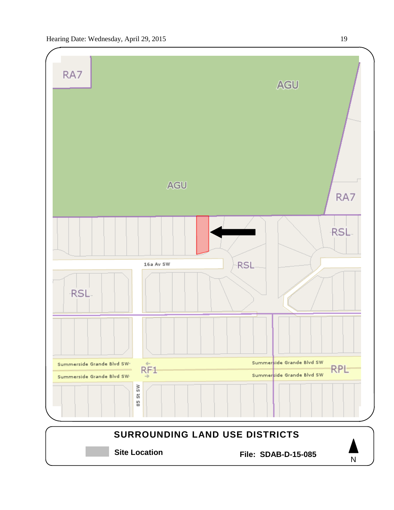